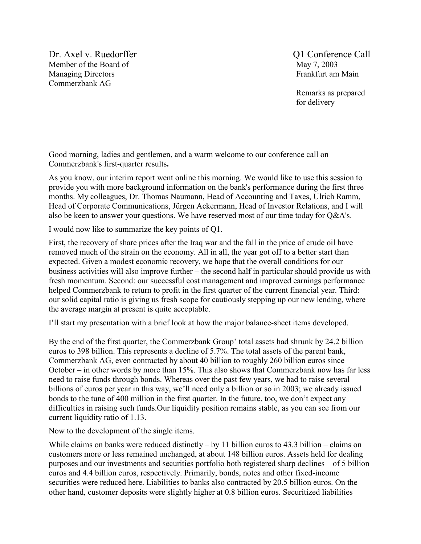Dr. Axel v. Ruedorffer  $Q1$  Conference Call Member of the Board of May 7, 2003 Managing Directors Frankfurt am Main Commerzbank AG

 Remarks as prepared for delivery

Good morning, ladies and gentlemen, and a warm welcome to our conference call on Commerzbank's first-quarter results**.** 

As you know, our interim report went online this morning. We would like to use this session to provide you with more background information on the bank's performance during the first three months. My colleagues, Dr. Thomas Naumann, Head of Accounting and Taxes, Ulrich Ramm, Head of Corporate Communications, Jürgen Ackermann, Head of Investor Relations, and I will also be keen to answer your questions. We have reserved most of our time today for Q&A's.

I would now like to summarize the key points of Q1.

First, the recovery of share prices after the Iraq war and the fall in the price of crude oil have removed much of the strain on the economy. All in all, the year got off to a better start than expected. Given a modest economic recovery, we hope that the overall conditions for our business activities will also improve further – the second half in particular should provide us with fresh momentum. Second: our successful cost management and improved earnings performance helped Commerzbank to return to profit in the first quarter of the current financial year. Third: our solid capital ratio is giving us fresh scope for cautiously stepping up our new lending, where the average margin at present is quite acceptable.

I'll start my presentation with a brief look at how the major balance-sheet items developed.

By the end of the first quarter, the Commerzbank Group' total assets had shrunk by 24.2 billion euros to 398 billion. This represents a decline of 5.7%. The total assets of the parent bank, Commerzbank AG, even contracted by about 40 billion to roughly 260 billion euros since October – in other words by more than 15%. This also shows that Commerzbank now has far less need to raise funds through bonds. Whereas over the past few years, we had to raise several billions of euros per year in this way, we'll need only a billion or so in 2003; we already issued bonds to the tune of 400 million in the first quarter. In the future, too, we don't expect any difficulties in raising such funds.Our liquidity position remains stable, as you can see from our current liquidity ratio of 1.13.

Now to the development of the single items.

While claims on banks were reduced distinctly – by 11 billion euros to 43.3 billion – claims on customers more or less remained unchanged, at about 148 billion euros. Assets held for dealing purposes and our investments and securities portfolio both registered sharp declines – of 5 billion euros and 4.4 billion euros, respectively. Primarily, bonds, notes and other fixed-income securities were reduced here. Liabilities to banks also contracted by 20.5 billion euros. On the other hand, customer deposits were slightly higher at 0.8 billion euros. Securitized liabilities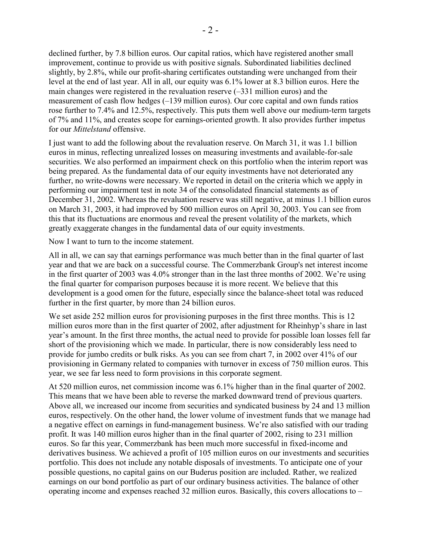declined further, by 7.8 billion euros. Our capital ratios, which have registered another small improvement, continue to provide us with positive signals. Subordinated liabilities declined slightly, by 2.8%, while our profit-sharing certificates outstanding were unchanged from their level at the end of last year. All in all, our equity was 6.1% lower at 8.3 billion euros. Here the main changes were registered in the revaluation reserve (–331 million euros) and the measurement of cash flow hedges (–139 million euros). Our core capital and own funds ratios rose further to 7.4% and 12.5%, respectively. This puts them well above our medium-term targets of 7% and 11%, and creates scope for earnings-oriented growth. It also provides further impetus for our *Mittelstand* offensive.

I just want to add the following about the revaluation reserve. On March 31, it was 1.1 billion euros in minus, reflecting unrealized losses on measuring investments and available-for-sale securities. We also performed an impairment check on this portfolio when the interim report was being prepared. As the fundamental data of our equity investments have not deteriorated any further, no write-downs were necessary. We reported in detail on the criteria which we apply in performing our impairment test in note 34 of the consolidated financial statements as of December 31, 2002. Whereas the revaluation reserve was still negative, at minus 1.1 billion euros on March 31, 2003, it had improved by 500 million euros on April 30, 2003. You can see from this that its fluctuations are enormous and reveal the present volatility of the markets, which greatly exaggerate changes in the fundamental data of our equity investments.

Now I want to turn to the income statement.

All in all, we can say that earnings performance was much better than in the final quarter of last year and that we are back on a successful course. The Commerzbank Group's net interest income in the first quarter of 2003 was 4.0% stronger than in the last three months of 2002. We're using the final quarter for comparison purposes because it is more recent. We believe that this development is a good omen for the future, especially since the balance-sheet total was reduced further in the first quarter, by more than 24 billion euros.

We set aside 252 million euros for provisioning purposes in the first three months. This is 12 million euros more than in the first quarter of 2002, after adjustment for Rheinhyp's share in last year's amount. In the first three months, the actual need to provide for possible loan losses fell far short of the provisioning which we made. In particular, there is now considerably less need to provide for jumbo credits or bulk risks. As you can see from chart 7, in 2002 over 41% of our provisioning in Germany related to companies with turnover in excess of 750 million euros. This year, we see far less need to form provisions in this corporate segment.

At 520 million euros, net commission income was 6.1% higher than in the final quarter of 2002. This means that we have been able to reverse the marked downward trend of previous quarters. Above all, we increased our income from securities and syndicated business by 24 and 13 million euros, respectively. On the other hand, the lower volume of investment funds that we manage had a negative effect on earnings in fund-management business. We're also satisfied with our trading profit. It was 140 million euros higher than in the final quarter of 2002, rising to 231 million euros. So far this year, Commerzbank has been much more successful in fixed-income and derivatives business. We achieved a profit of 105 million euros on our investments and securities portfolio. This does not include any notable disposals of investments. To anticipate one of your possible questions, no capital gains on our Buderus position are included. Rather, we realized earnings on our bond portfolio as part of our ordinary business activities. The balance of other operating income and expenses reached 32 million euros. Basically, this covers allocations to –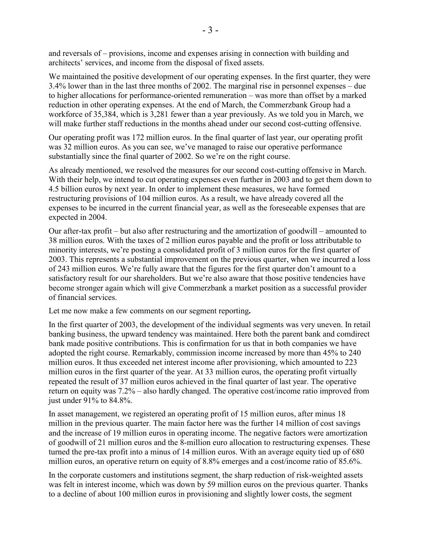and reversals of – provisions, income and expenses arising in connection with building and architects' services, and income from the disposal of fixed assets.

We maintained the positive development of our operating expenses. In the first quarter, they were 3.4% lower than in the last three months of 2002. The marginal rise in personnel expenses – due to higher allocations for performance-oriented remuneration – was more than offset by a marked reduction in other operating expenses. At the end of March, the Commerzbank Group had a workforce of 35,384, which is 3,281 fewer than a year previously. As we told you in March, we will make further staff reductions in the months ahead under our second cost-cutting offensive.

Our operating profit was 172 million euros. In the final quarter of last year, our operating profit was 32 million euros. As you can see, we've managed to raise our operative performance substantially since the final quarter of 2002. So we're on the right course.

As already mentioned, we resolved the measures for our second cost-cutting offensive in March. With their help, we intend to cut operating expenses even further in 2003 and to get them down to 4.5 billion euros by next year. In order to implement these measures, we have formed restructuring provisions of 104 million euros. As a result, we have already covered all the expenses to be incurred in the current financial year, as well as the foreseeable expenses that are expected in 2004.

Our after-tax profit – but also after restructuring and the amortization of goodwill – amounted to 38 million euros. With the taxes of 2 million euros payable and the profit or loss attributable to minority interests, we're posting a consolidated profit of 3 million euros for the first quarter of 2003. This represents a substantial improvement on the previous quarter, when we incurred a loss of 243 million euros. We're fully aware that the figures for the first quarter don't amount to a satisfactory result for our shareholders. But we're also aware that those positive tendencies have become stronger again which will give Commerzbank a market position as a successful provider of financial services.

Let me now make a few comments on our segment reporting**.** 

In the first quarter of 2003, the development of the individual segments was very uneven. In retail banking business, the upward tendency was maintained. Here both the parent bank and comdirect bank made positive contributions. This is confirmation for us that in both companies we have adopted the right course. Remarkably, commission income increased by more than 45% to 240 million euros. It thus exceeded net interest income after provisioning, which amounted to 223 million euros in the first quarter of the year. At 33 million euros, the operating profit virtually repeated the result of 37 million euros achieved in the final quarter of last year. The operative return on equity was 7.2% – also hardly changed. The operative cost/income ratio improved from just under 91% to 84.8%.

In asset management, we registered an operating profit of 15 million euros, after minus 18 million in the previous quarter. The main factor here was the further 14 million of cost savings and the increase of 19 million euros in operating income. The negative factors were amortization of goodwill of 21 million euros and the 8-million euro allocation to restructuring expenses. These turned the pre-tax profit into a minus of 14 million euros. With an average equity tied up of 680 million euros, an operative return on equity of 8.8% emerges and a cost/income ratio of 85.6%.

In the corporate customers and institutions segment, the sharp reduction of risk-weighted assets was felt in interest income, which was down by 59 million euros on the previous quarter. Thanks to a decline of about 100 million euros in provisioning and slightly lower costs, the segment